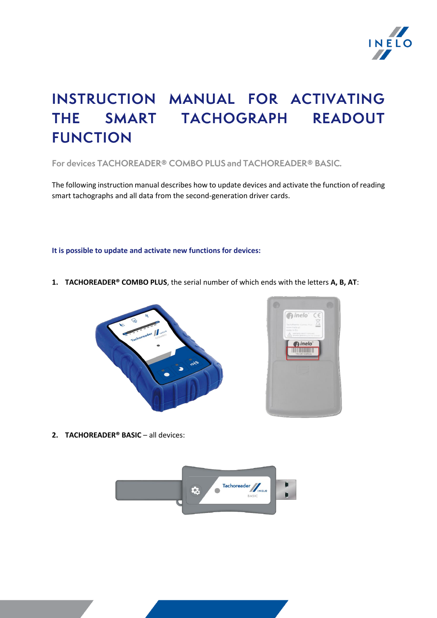

# INSTRUCTION MANUAL FOR ACTIVATING THE SMART TACHOGRAPH READOUT **FUNCTION**

For devices TACHOREADER® COMBO PLUS and TACHOREADER® BASIC.

The following instruction manual describes how to update devices and activate the function of reading smart tachographs and all data from the second-generation driver cards.

**It is possible to update and activate new functions for devices:**

**1. TACHOREADER® COMBO PLUS**, the serial number of which ends with the letters **A, B, AT**:





**2. TACHOREADER<sup>®</sup> BASIC** – all devices:

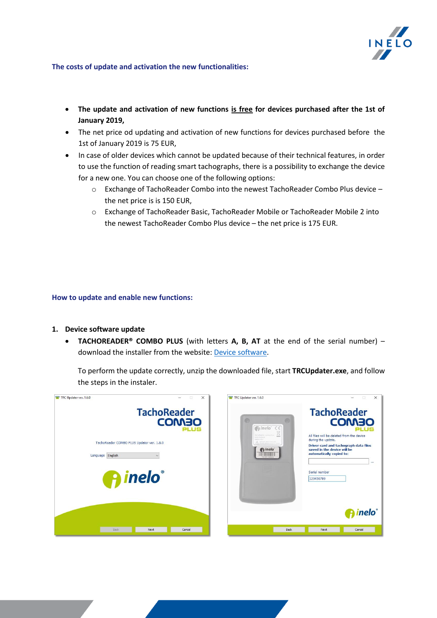

## **The costs of update and activation the new functionalities:**

- **The update and activation of new functions is free for devices purchased after the 1st of January 2019,**
- The net price od updating and activation of new functions for devices purchased before the 1st of January 2019 is 75 EUR,
- In case of older devices which cannot be updated because of their technical features, in order [to use the function of reading smart tachographs, there is a possibility to exchange the device](https://inelo.com/download/device-software/)  for a new one. You can choose one of the following options:
	- $\circ$  Exchange of TachoReader Combo into the newest TachoReader Combo Plus device the net price is is 150 EUR,
	- o Exchange of TachoReader Basic, TachoReader Mobile or TachoReader Mobile 2 into the newest TachoReader Combo Plus device – the net price is 175 EUR.

## **How to update and enable new functions:**

- **1. Device software update**
	- **TACHOREADER® COMBO PLUS** (with letters **A, B, AT** at the end of the serial number) download the installer from the website[: Device software.](https://inelo.com/download/device-software/)

To perform the update correctly, unzip the downloaded file, start **TRCUpdater.exe**, and follow the steps in the instaler.

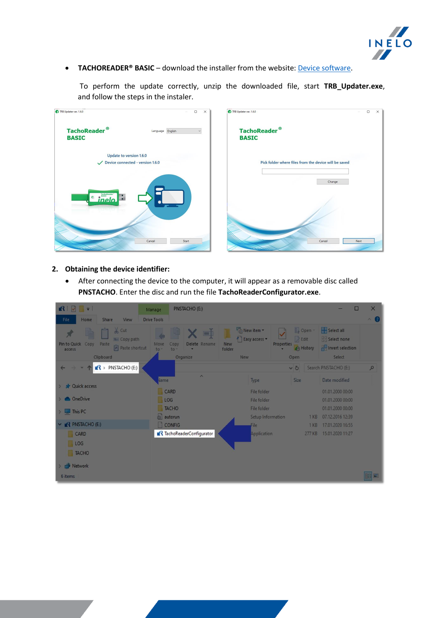

**• TACHOREADER® BASIC** – download the installer from the website: **Device software**.

To perform the update correctly, unzip the downloaded file, start **TRB\_Updater.exe**, and follow the steps in the instaler.



## **2. Obtaining the device identifier:**

• After connecting the device to the computer, it will appear as a removable disc called **PNSTACHO**. Enter the disc and run the file **TachoReaderConfigurator.exe**.

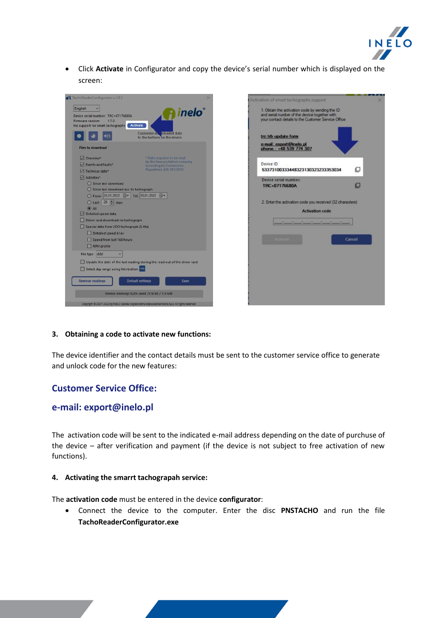

• Click **Activate** in Configurator and copy the device's serial number which is displayed on the screen:



## **3. Obtaining a code to activate new functions:**

The device identifier and the contact details must be sent to the customer service office to generate and unlock code for the new features:

## **Customer Service Office:**

## **e-mail: export@inelo.pl**

Theactivation code will be sent to the indicated e-mail address depending on the date of purchuse of the device – after verification and payment (if the device is not subject to free activation of new functions).

## **4. Activating the smarrt tachograpah service:**

The **activation code** must be entered in the device **configurator**:

• Connect the device to the computer. Enter the disc **PNSTACHO** and run the file **TachoReaderConfigurator.exe**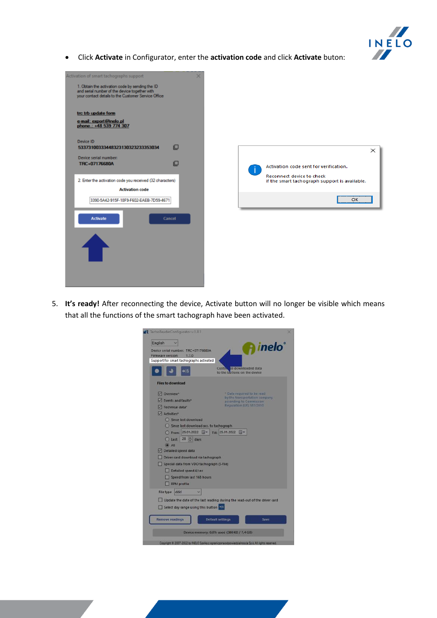

• Click **Activate** in Configurator, enter the **activation code** and click **Activate** buton:



5. **It's ready!** After reconnecting the device, Activate button will no longer be visible which means that all the functions of the smart tachograph have been activated.

| English                                                                                                                                                                            |                                                                                                                                    |
|------------------------------------------------------------------------------------------------------------------------------------------------------------------------------------|------------------------------------------------------------------------------------------------------------------------------------|
| Device serial number: TRC+07176680A<br>Firmware version:<br>1.7.0<br>Support for smart tachographs activated                                                                       | <b>A</b> inelo                                                                                                                     |
|                                                                                                                                                                                    | Custo e downloaded data<br>to the buttons on the device                                                                            |
| <b>Files to download</b>                                                                                                                                                           |                                                                                                                                    |
| Overview*<br>V Events and faults*<br>Technical data*<br>Activities*<br>Since last download<br>Since last download acc. to tachograph<br>From: 25.01.2022 <b>F</b> Tilt: 25.01.2022 | * Data required to be read<br>by the transportation company<br>according to Commission<br>Requiation (UEI 581/2010)<br><b>ISIN</b> |
| $Q$ Last: $28 \div d$ ays<br>$\Theta$ All<br>Detailed speed data<br>Driver card download via tachograph<br>Special data from VDO tachograph (S-file)                               |                                                                                                                                    |
| Detailed speed 4/sec<br>Speed from last 168 hours<br><b>RPM</b> profile                                                                                                            |                                                                                                                                    |
| ddd<br>File type<br>Select day range using this button                                                                                                                             | Update the date of the last reading during the read-out of the driver card                                                         |
| Remove readings                                                                                                                                                                    | <b>Default settings</b><br>Save                                                                                                    |
|                                                                                                                                                                                    | Device memory: 0,0% used (380 KB / 7,4 GB)                                                                                         |
|                                                                                                                                                                                    | Copyright 8 2007-2022 by INELO Spoka z ograniczona odpowiedzialnoscia Sp.k. All rights reserved.                                   |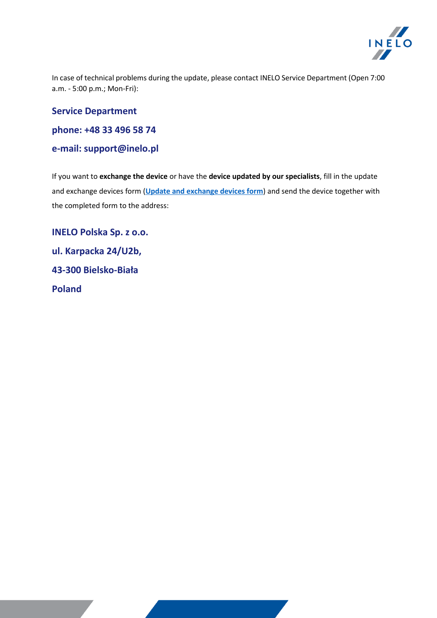

In case of technical problems during the update, please contact INELO Service Department (Open 7:00 a.m. - 5:00 p.m.; Mon-Fri):

## **Service Department**

**phone: +48 33 496 58 74**

# **e-mail: support@inelo.pl**

If you want to **exchange the device** or have the **device updated by our specialists**, fill in the update and exchange devices form (**[Update and exchange devices form](https://inelo.com/download/forms-and-drivers/)**) and send the device together with the completed form to the address:

**INELO Polska Sp. z o.o. ul. Karpacka 24/U2b, 43-300 Bielsko-Biała Poland**